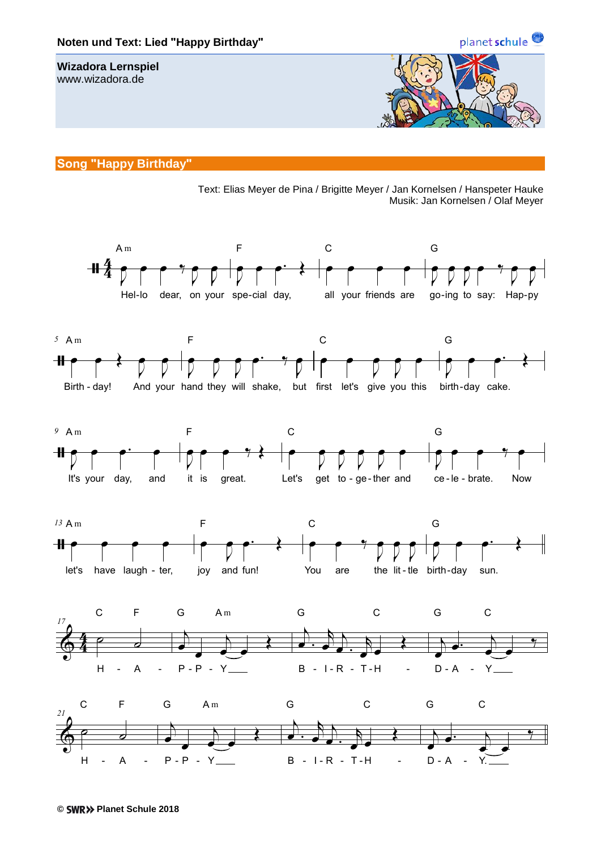

## **Song "Happy Birthday"**

Text: Elias Meyer de Pina / Brigitte Meyer / Jan Kornelsen / Hanspeter Hauke Musik: Jan Kornelsen / Olaf Meyer

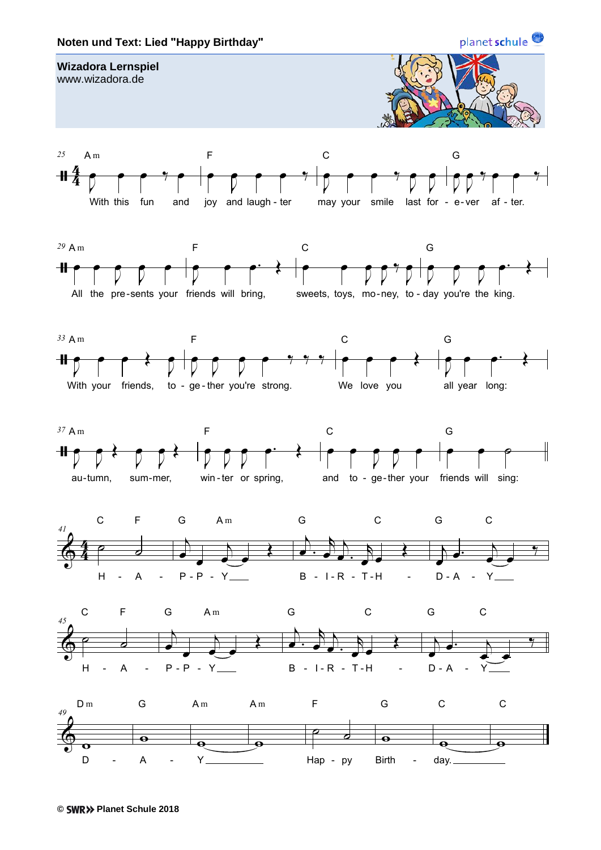